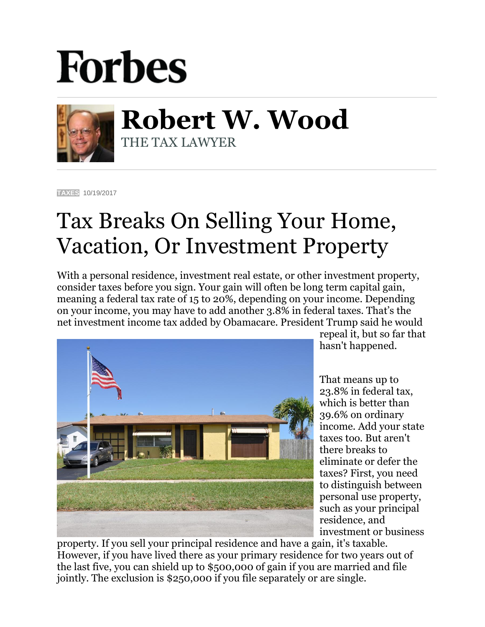## **Forbes**



**Robert W. Wood** THE TAX LAWYER

**[TAXES](https://www.forbes.com/taxes)** 10/19/2017

## Tax Breaks On Selling Your Home, Vacation, Or Investment Property

With a personal residence, investment real estate, or other investment property, consider taxes before you sign. Your gain will often be long term capital gain, meaning a federal tax rate of 15 to 20%, depending on your income. Depending on your income, you may have to add another 3.8% in federal taxes. That's the net investment income tax added by Obamacare. President Trump said he would



repeal it, but so far that hasn't happened.

That means up to 23.8% in federal tax, which is better than 39.6% on ordinary income. Add your state taxes too. But aren't there breaks to eliminate or defer the taxes? First, you need to distinguish between personal use property, such as your principal residence, and investment or business

property. If you sell your principal residence and have a gain, it's taxable. However, if you have lived there as your primary residence for two years out of the last five, you can shield up to \$500,000 of gain if you are married and file jointly. The exclusion is \$250,000 if you file separately or are single.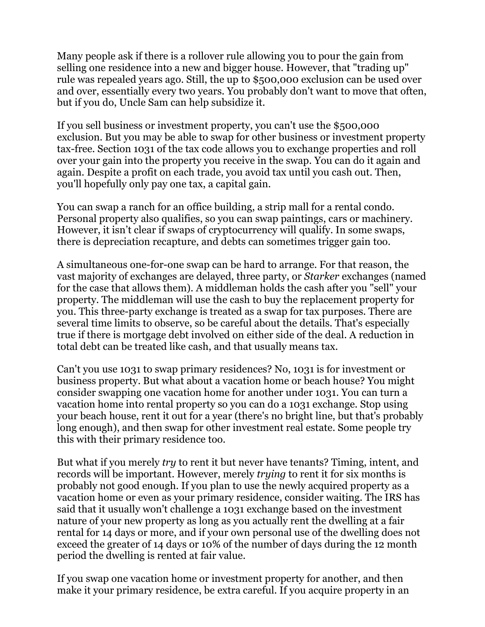Many people ask if there is a rollover rule allowing you to pour the gain from selling one residence into a new and bigger house. However, that "trading up" rule was repealed years ago. Still, the up to \$500,000 exclusion can be used over and over, essentially every two years. You probably don't want to move that often, but if you do, Uncle Sam can help subsidize it.

If you sell business or investment property, you can't use the \$500,000 exclusion. But you may be able to swap for other business or investment property tax-free. Section 1031 of the tax code allows you to exchange properties and roll over your gain into the property you receive in the swap. You can do it again and again. Despite a profit on each trade, you avoid tax until you cash out. Then, you'll hopefully only pay one tax, a capital gain.

You can swap a ranch for an office building, a strip mall for a rental condo. Personal property also qualifies, so you can swap paintings, cars or machinery. However, it isn't clear if swaps of cryptocurrency will qualify. In some swaps, there is depreciation recapture, and debts can sometimes trigger gain too.

A simultaneous one-for-one swap can be hard to arrange. For that reason, the vast majority of exchanges are delayed, three party, or *Starker* exchanges (named for the case that allows them). A middleman holds the cash after you "sell" your property. The middleman will use the cash to buy the replacement property for you. This three-party exchange is treated as a swap for tax purposes. There are several time limits to observe, so be careful about the details. That's especially true if there is mortgage debt involved on either side of the deal. A reduction in total debt can be treated like cash, and that usually means tax.

Can't you use 1031 to swap primary residences? No, 1031 is for investment or business property. But what about a vacation home or beach house? You might consider swapping one vacation home for another under 1031. You can turn a vacation home into rental property so you can do a 1031 exchange. Stop using your beach house, rent it out for a year (there's no bright line, but that's probably long enough), and then swap for other investment real estate. Some people try this with their primary residence too.

But what if you merely *try* to rent it but never have tenants? Timing, intent, and records will be important. However, merely *trying* to rent it for six months is probably not good enough. If you plan to use the newly acquired property as a vacation home or even as your primary residence, consider waiting. The IRS has said that it usually won't challenge a 1031 exchange based on the investment nature of your new property as long as you actually rent the dwelling at a fair rental for 14 days or more, and if your own personal use of the dwelling does not exceed the greater of 14 days or 10% of the number of days during the 12 month period the dwelling is rented at fair value.

If you swap one vacation home or investment property for another, and then make it your primary residence, be extra careful. If you acquire property in an